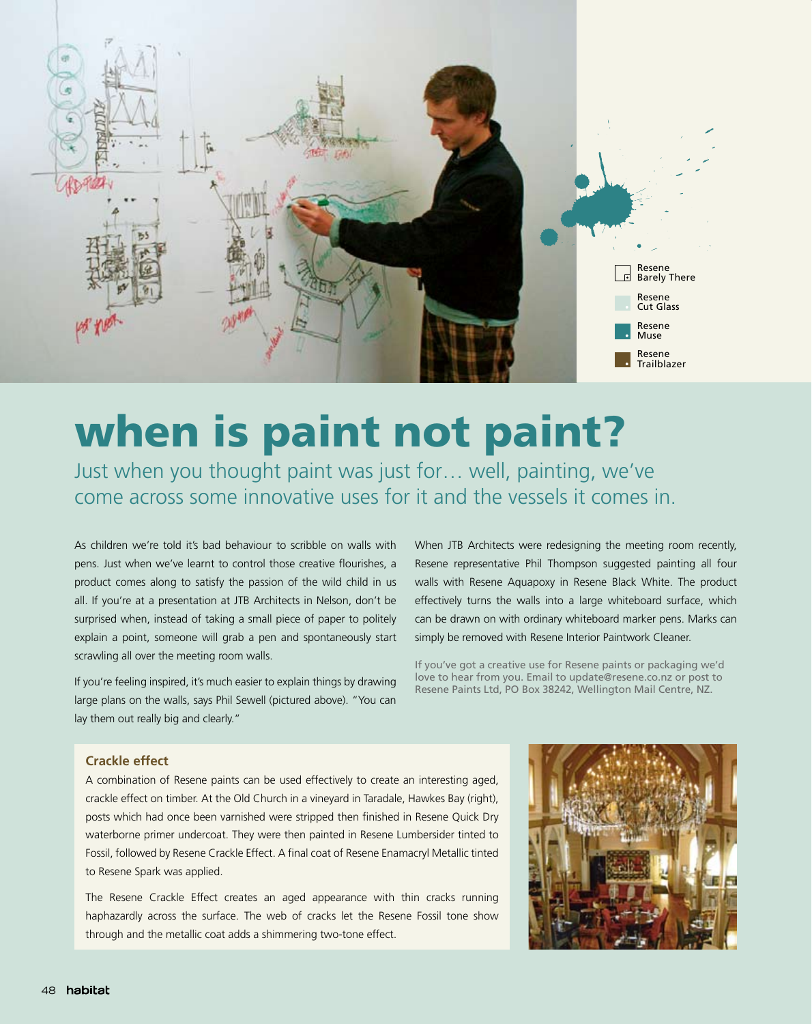

# when is paint not paint?

Just when you thought paint was just for… well, painting, we've come across some innovative uses for it and the vessels it comes in.

As children we're told it's bad behaviour to scribble on walls with pens. Just when we've learnt to control those creative flourishes, a product comes along to satisfy the passion of the wild child in us all. If you're at a presentation at JTB Architects in Nelson, don't be surprised when, instead of taking a small piece of paper to politely explain a point, someone will grab a pen and spontaneously start scrawling all over the meeting room walls.

If you're feeling inspired, it's much easier to explain things by drawing large plans on the walls, says Phil Sewell (pictured above). "You can lay them out really big and clearly."

When JTB Architects were redesigning the meeting room recently, Resene representative Phil Thompson suggested painting all four walls with Resene Aquapoxy in Resene Black White. The product effectively turns the walls into a large whiteboard surface, which can be drawn on with ordinary whiteboard marker pens. Marks can simply be removed with Resene Interior Paintwork Cleaner.

If you've got a creative use for Resene paints or packaging we'd love to hear from you. Email to update@resene.co.nz or post to Resene Paints Ltd, PO Box 38242, Wellington Mail Centre, NZ.

#### **Crackle effect**

A combination of Resene paints can be used effectively to create an interesting aged, crackle effect on timber. At the Old Church in a vineyard in Taradale, Hawkes Bay (right), posts which had once been varnished were stripped then finished in Resene Quick Dry waterborne primer undercoat. They were then painted in Resene Lumbersider tinted to Fossil, followed by Resene Crackle Effect. A final coat of Resene Enamacryl Metallic tinted to Resene Spark was applied.

The Resene Crackle Effect creates an aged appearance with thin cracks running haphazardly across the surface. The web of cracks let the Resene Fossil tone show through and the metallic coat adds a shimmering two-tone effect.